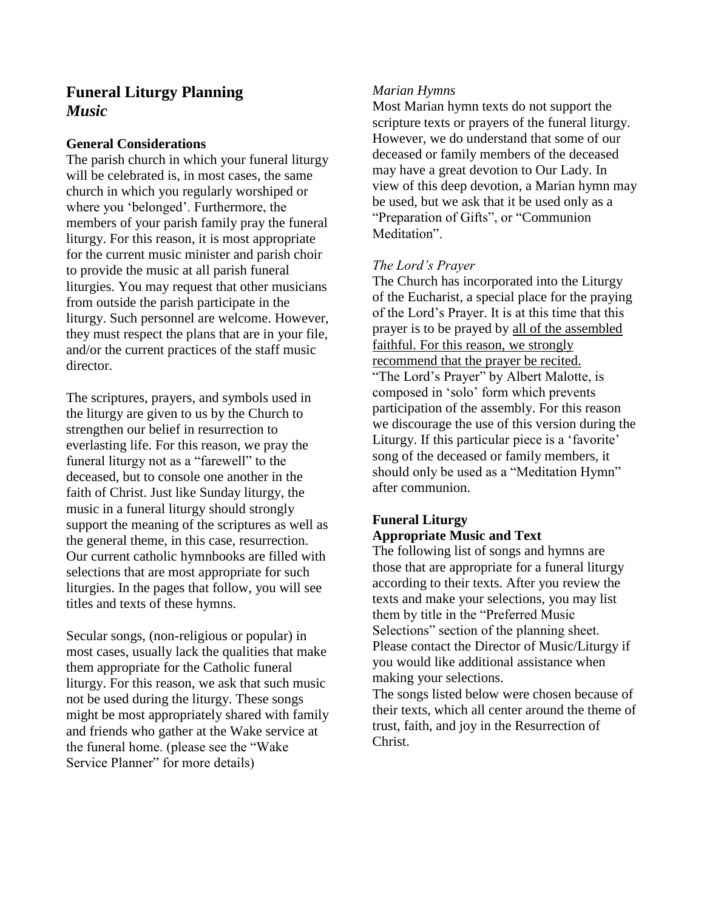# **Funeral Liturgy Planning** *Music*

### **General Considerations**

The parish church in which your funeral liturgy will be celebrated is, in most cases, the same church in which you regularly worshiped or where you 'belonged'. Furthermore, the members of your parish family pray the funeral liturgy. For this reason, it is most appropriate for the current music minister and parish choir to provide the music at all parish funeral liturgies. You may request that other musicians from outside the parish participate in the liturgy. Such personnel are welcome. However, they must respect the plans that are in your file, and/or the current practices of the staff music director.

The scriptures, prayers, and symbols used in the liturgy are given to us by the Church to strengthen our belief in resurrection to everlasting life. For this reason, we pray the funeral liturgy not as a "farewell" to the deceased, but to console one another in the faith of Christ. Just like Sunday liturgy, the music in a funeral liturgy should strongly support the meaning of the scriptures as well as the general theme, in this case, resurrection. Our current catholic hymnbooks are filled with selections that are most appropriate for such liturgies. In the pages that follow, you will see titles and texts of these hymns.

Secular songs, (non-religious or popular) in most cases, usually lack the qualities that make them appropriate for the Catholic funeral liturgy. For this reason, we ask that such music not be used during the liturgy. These songs might be most appropriately shared with family and friends who gather at the Wake service at the funeral home. (please see the "Wake Service Planner" for more details)

### *Marian Hymns*

Most Marian hymn texts do not support the scripture texts or prayers of the funeral liturgy. However, we do understand that some of our deceased or family members of the deceased may have a great devotion to Our Lady. In view of this deep devotion, a Marian hymn may be used, but we ask that it be used only as a "Preparation of Gifts", or "Communion Meditation".

### *The Lord's Prayer*

The Church has incorporated into the Liturgy of the Eucharist, a special place for the praying of the Lord's Prayer. It is at this time that this prayer is to be prayed by all of the assembled faithful. For this reason, we strongly recommend that the prayer be recited. "The Lord's Prayer" by Albert Malotte, is composed in 'solo' form which prevents participation of the assembly. For this reason we discourage the use of this version during the Liturgy. If this particular piece is a 'favorite' song of the deceased or family members, it should only be used as a "Meditation Hymn" after communion.

## **Funeral Liturgy Appropriate Music and Text**

The following list of songs and hymns are those that are appropriate for a funeral liturgy according to their texts. After you review the texts and make your selections, you may list them by title in the "Preferred Music Selections" section of the planning sheet. Please contact the Director of Music/Liturgy if you would like additional assistance when making your selections.

The songs listed below were chosen because of their texts, which all center around the theme of trust, faith, and joy in the Resurrection of Christ.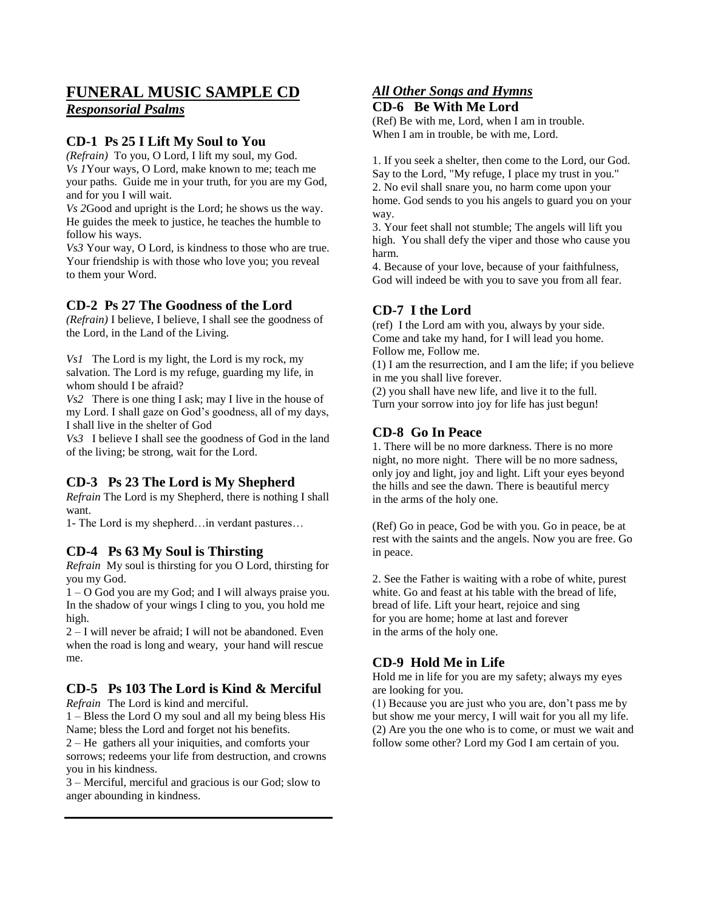# **FUNERAL MUSIC SAMPLE CD**

*Responsorial Psalms*

### **CD-1 Ps 25 I Lift My Soul to You**

*(Refrain)* To you, O Lord, I lift my soul, my God. *Vs 1*Your ways, O Lord, make known to me; teach me your paths. Guide me in your truth, for you are my God, and for you I will wait.

*Vs 2*Good and upright is the Lord; he shows us the way. He guides the meek to justice, he teaches the humble to follow his ways.

*Vs3* Your way, O Lord, is kindness to those who are true. Your friendship is with those who love you; you reveal to them your Word.

#### **CD-2 Ps 27 The Goodness of the Lord**

*(Refrain)* I believe, I believe, I shall see the goodness of the Lord, in the Land of the Living.

*Vs1* The Lord is my light, the Lord is my rock, my salvation. The Lord is my refuge, guarding my life, in whom should I be afraid?

*Vs2* There is one thing I ask; may I live in the house of my Lord. I shall gaze on God's goodness, all of my days, I shall live in the shelter of God

*Vs3* I believe I shall see the goodness of God in the land of the living; be strong, wait for the Lord.

### **CD-3 Ps 23 The Lord is My Shepherd**

*Refrain* The Lord is my Shepherd, there is nothing I shall want.

1- The Lord is my shepherd…in verdant pastures…

#### **CD-4 Ps 63 My Soul is Thirsting**

*Refrain* My soul is thirsting for you O Lord, thirsting for you my God.

1 – O God you are my God; and I will always praise you. In the shadow of your wings I cling to you, you hold me high.

2 – I will never be afraid; I will not be abandoned. Even when the road is long and weary, your hand will rescue me.

# **CD-5 Ps 103 The Lord is Kind & Merciful**

*Refrain*The Lord is kind and merciful.

1 – Bless the Lord O my soul and all my being bless His Name; bless the Lord and forget not his benefits.

2 – He gathers all your iniquities, and comforts your sorrows; redeems your life from destruction, and crowns you in his kindness.

3 – Merciful, merciful and gracious is our God; slow to anger abounding in kindness.

#### *All Other Songs and Hymns* **CD-6 Be With Me Lord**

(Ref) Be with me, Lord, when I am in trouble. When I am in trouble, be with me, Lord.

1. If you seek a shelter, then come to the Lord, our God. Say to the Lord, "My refuge, I place my trust in you." 2. No evil shall snare you, no harm come upon your home. God sends to you his angels to guard you on your way.

3. Your feet shall not stumble; The angels will lift you high. You shall defy the viper and those who cause you harm.

4. Because of your love, because of your faithfulness, God will indeed be with you to save you from all fear.

### **CD-7 I the Lord**

(ref) I the Lord am with you, always by your side. Come and take my hand, for I will lead you home. Follow me, Follow me.

(1) I am the resurrection, and I am the life; if you believe in me you shall live forever.

(2) you shall have new life, and live it to the full. Turn your sorrow into joy for life has just begun!

#### **CD-8 Go In Peace**

1. There will be no more darkness. There is no more night, no more night. There will be no more sadness, only joy and light, joy and light. Lift your eyes beyond the hills and see the dawn. There is beautiful mercy in the arms of the holy one.

(Ref) Go in peace, God be with you. Go in peace, be at rest with the saints and the angels. Now you are free. Go in peace.

2. See the Father is waiting with a robe of white, purest white. Go and feast at his table with the bread of life, bread of life. Lift your heart, rejoice and sing for you are home; home at last and forever in the arms of the holy one.

### **CD-9 Hold Me in Life**

Hold me in life for you are my safety; always my eyes are looking for you.

(1) Because you are just who you are, don't pass me by but show me your mercy, I will wait for you all my life. (2) Are you the one who is to come, or must we wait and follow some other? Lord my God I am certain of you.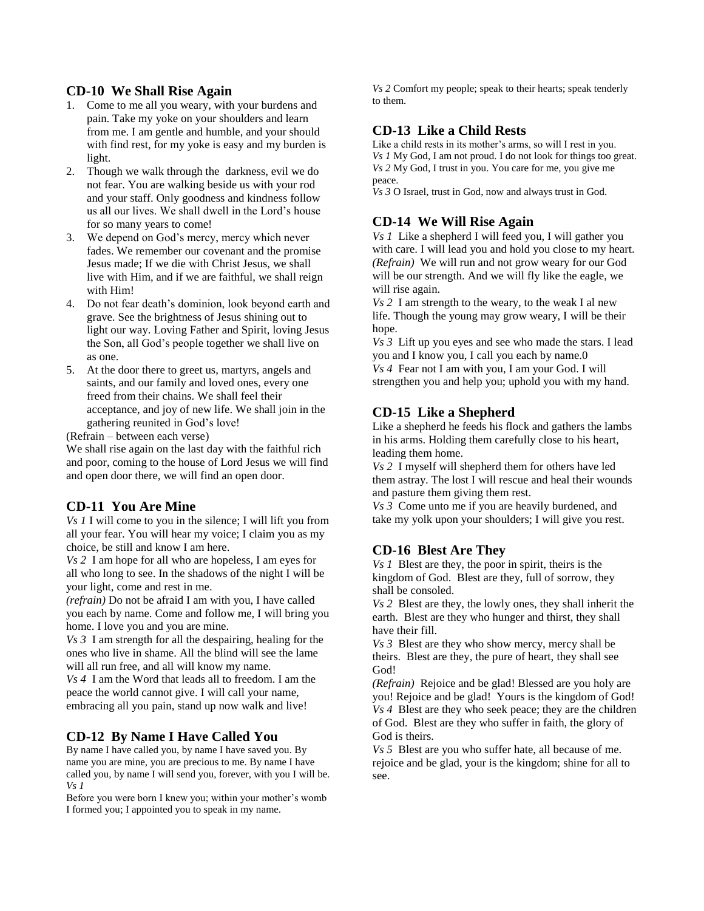#### **CD-10 We Shall Rise Again**

- 1. Come to me all you weary, with your burdens and pain. Take my yoke on your shoulders and learn from me. I am gentle and humble, and your should with find rest, for my yoke is easy and my burden is light.
- 2. Though we walk through the darkness, evil we do not fear. You are walking beside us with your rod and your staff. Only goodness and kindness follow us all our lives. We shall dwell in the Lord's house for so many years to come!
- 3. We depend on God's mercy, mercy which never fades. We remember our covenant and the promise Jesus made; If we die with Christ Jesus, we shall live with Him, and if we are faithful, we shall reign with Him!
- 4. Do not fear death's dominion, look beyond earth and grave. See the brightness of Jesus shining out to light our way. Loving Father and Spirit, loving Jesus the Son, all God's people together we shall live on as one.
- 5. At the door there to greet us, martyrs, angels and saints, and our family and loved ones, every one freed from their chains. We shall feel their acceptance, and joy of new life. We shall join in the gathering reunited in God's love!

(Refrain – between each verse)

We shall rise again on the last day with the faithful rich and poor, coming to the house of Lord Jesus we will find and open door there, we will find an open door.

#### **CD-11 You Are Mine**

*Vs 1* I will come to you in the silence; I will lift you from all your fear. You will hear my voice; I claim you as my choice, be still and know I am here.

*Vs 2* I am hope for all who are hopeless, I am eyes for all who long to see. In the shadows of the night I will be your light, come and rest in me.

*(refrain)* Do not be afraid I am with you, I have called you each by name. Come and follow me, I will bring you home. I love you and you are mine.

*Vs 3* I am strength for all the despairing, healing for the ones who live in shame. All the blind will see the lame will all run free, and all will know my name.

*Vs 4* I am the Word that leads all to freedom. I am the peace the world cannot give. I will call your name, embracing all you pain, stand up now walk and live!

#### **CD-12 By Name I Have Called You**

By name I have called you, by name I have saved you. By name you are mine, you are precious to me. By name I have called you, by name I will send you, forever, with you I will be. *Vs 1*

Before you were born I knew you; within your mother's womb I formed you; I appointed you to speak in my name.

*Vs 2* Comfort my people; speak to their hearts; speak tenderly to them.

#### **CD-13 Like a Child Rests**

Like a child rests in its mother's arms, so will I rest in you. *Vs 1* My God, I am not proud. I do not look for things too great. *Vs 2* My God, I trust in you. You care for me, you give me peace.

*Vs 3* O Israel, trust in God, now and always trust in God.

#### **CD-14 We Will Rise Again**

*Vs 1* Like a shepherd I will feed you, I will gather you with care. I will lead you and hold you close to my heart. *(Refrain)* We will run and not grow weary for our God will be our strength. And we will fly like the eagle, we will rise again.

*Vs 2* I am strength to the weary, to the weak I al new life. Though the young may grow weary, I will be their hope.

*Vs 3* Lift up you eyes and see who made the stars. I lead you and I know you, I call you each by name.0

*Vs 4* Fear not I am with you, I am your God. I will strengthen you and help you; uphold you with my hand.

#### **CD-15 Like a Shepherd**

Like a shepherd he feeds his flock and gathers the lambs in his arms. Holding them carefully close to his heart, leading them home.

*Vs 2* I myself will shepherd them for others have led them astray. The lost I will rescue and heal their wounds and pasture them giving them rest.

*Vs 3* Come unto me if you are heavily burdened, and take my yolk upon your shoulders; I will give you rest.

#### **CD-16 Blest Are They**

*Vs 1* Blest are they, the poor in spirit, theirs is the kingdom of God. Blest are they, full of sorrow, they shall be consoled.

*Vs 2* Blest are they, the lowly ones, they shall inherit the earth. Blest are they who hunger and thirst, they shall have their fill.

*Vs 3* Blest are they who show mercy, mercy shall be theirs. Blest are they, the pure of heart, they shall see God!

*(Refrain)* Rejoice and be glad! Blessed are you holy are you! Rejoice and be glad! Yours is the kingdom of God! *Vs 4* Blest are they who seek peace; they are the children of God. Blest are they who suffer in faith, the glory of God is theirs.

*Vs 5* Blest are you who suffer hate, all because of me. rejoice and be glad, your is the kingdom; shine for all to see.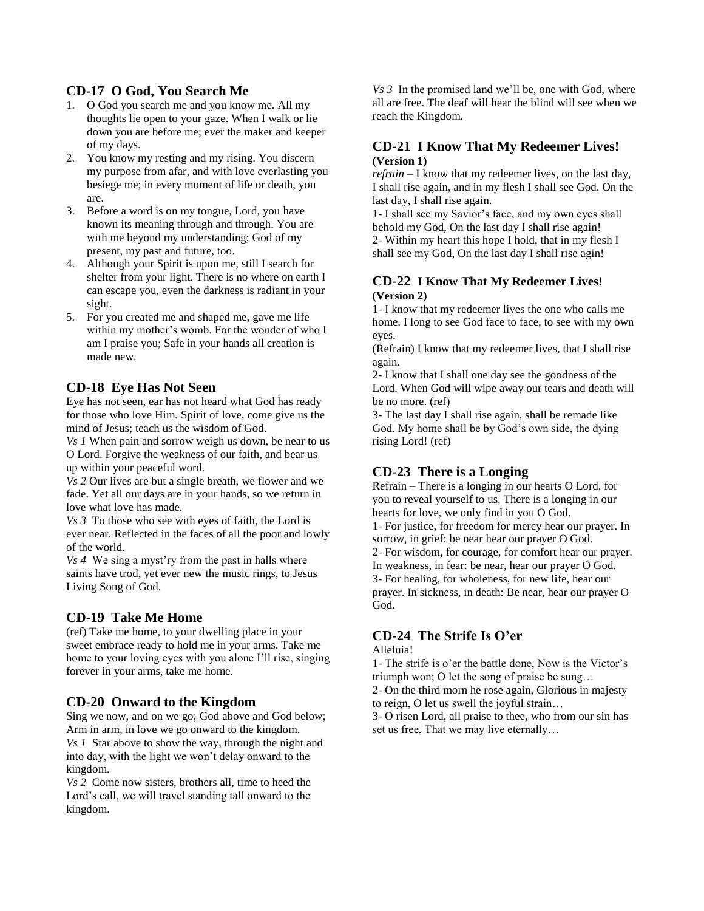### **CD-17 O God, You Search Me**

- 1. O God you search me and you know me. All my thoughts lie open to your gaze. When I walk or lie down you are before me; ever the maker and keeper of my days.
- 2. You know my resting and my rising. You discern my purpose from afar, and with love everlasting you besiege me; in every moment of life or death, you are.
- 3. Before a word is on my tongue, Lord, you have known its meaning through and through. You are with me beyond my understanding; God of my present, my past and future, too.
- 4. Although your Spirit is upon me, still I search for shelter from your light. There is no where on earth I can escape you, even the darkness is radiant in your sight.
- 5. For you created me and shaped me, gave me life within my mother's womb. For the wonder of who I am I praise you; Safe in your hands all creation is made new.

### **CD-18 Eye Has Not Seen**

Eye has not seen, ear has not heard what God has ready for those who love Him. Spirit of love, come give us the mind of Jesus; teach us the wisdom of God.

*Vs 1* When pain and sorrow weigh us down, be near to us O Lord. Forgive the weakness of our faith, and bear us up within your peaceful word.

*Vs 2* Our lives are but a single breath, we flower and we fade. Yet all our days are in your hands, so we return in love what love has made.

*Vs 3* To those who see with eyes of faith, the Lord is ever near. Reflected in the faces of all the poor and lowly of the world.

*Vs 4* We sing a myst'ry from the past in halls where saints have trod, yet ever new the music rings, to Jesus Living Song of God.

### **CD-19 Take Me Home**

(ref) Take me home, to your dwelling place in your sweet embrace ready to hold me in your arms. Take me home to your loving eyes with you alone I'll rise, singing forever in your arms, take me home.

#### **CD-20 Onward to the Kingdom**

Sing we now, and on we go; God above and God below; Arm in arm, in love we go onward to the kingdom. *Vs 1* Star above to show the way, through the night and into day, with the light we won't delay onward to the kingdom.

*Vs 2* Come now sisters, brothers all, time to heed the Lord's call, we will travel standing tall onward to the kingdom.

*Vs 3* In the promised land we'll be, one with God, where all are free. The deaf will hear the blind will see when we reach the Kingdom.

#### **CD-21 I Know That My Redeemer Lives! (Version 1)**

*refrain* – I know that my redeemer lives, on the last day, I shall rise again, and in my flesh I shall see God. On the last day, I shall rise again.

1- I shall see my Savior's face, and my own eyes shall behold my God, On the last day I shall rise again! 2- Within my heart this hope I hold, that in my flesh I shall see my God, On the last day I shall rise agin!

#### **CD-22 I Know That My Redeemer Lives! (Version 2)**

1- I know that my redeemer lives the one who calls me home. I long to see God face to face, to see with my own eyes.

(Refrain) I know that my redeemer lives, that I shall rise again.

2- I know that I shall one day see the goodness of the Lord. When God will wipe away our tears and death will be no more. (ref)

3- The last day I shall rise again, shall be remade like God. My home shall be by God's own side, the dying rising Lord! (ref)

### **CD-23 There is a Longing**

Refrain – There is a longing in our hearts O Lord, for you to reveal yourself to us. There is a longing in our hearts for love, we only find in you O God.

1- For justice, for freedom for mercy hear our prayer. In sorrow, in grief: be near hear our prayer O God.

2- For wisdom, for courage, for comfort hear our prayer. In weakness, in fear: be near, hear our prayer O God. 3- For healing, for wholeness, for new life, hear our prayer. In sickness, in death: Be near, hear our prayer O God.

### **CD-24 The Strife Is O'er**

#### Alleluia!

1- The strife is o'er the battle done, Now is the Victor's triumph won; O let the song of praise be sung…

2- On the third morn he rose again, Glorious in majesty to reign, O let us swell the joyful strain…

3- O risen Lord, all praise to thee, who from our sin has set us free, That we may live eternally…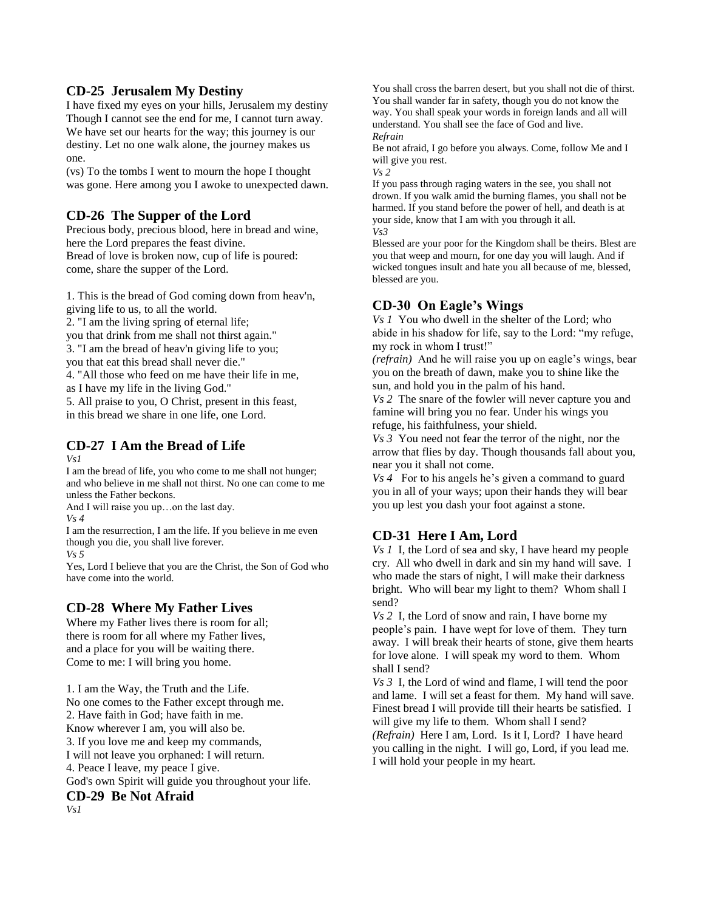### **CD-25 Jerusalem My Destiny**

I have fixed my eyes on your hills, Jerusalem my destiny Though I cannot see the end for me, I cannot turn away. We have set our hearts for the way; this journey is our destiny. Let no one walk alone, the journey makes us one.

(vs) To the tombs I went to mourn the hope I thought was gone. Here among you I awoke to unexpected dawn.

### **CD-26 The Supper of the Lord**

Precious body, precious blood, here in bread and wine, here the Lord prepares the feast divine. Bread of love is broken now, cup of life is poured: come, share the supper of the Lord.

1. This is the bread of God coming down from heav'n, giving life to us, to all the world. 2. "I am the living spring of eternal life;

you that drink from me shall not thirst again."

3. "I am the bread of heav'n giving life to you;

you that eat this bread shall never die."

4. "All those who feed on me have their life in me,

as I have my life in the living God."

5. All praise to you, O Christ, present in this feast, in this bread we share in one life, one Lord.

# **CD-27 I Am the Bread of Life**

*Vs1*

I am the bread of life, you who come to me shall not hunger; and who believe in me shall not thirst. No one can come to me unless the Father beckons.

And I will raise you up...on the last day.

*Vs 4*

I am the resurrection, I am the life. If you believe in me even though you die, you shall live forever.

*Vs 5*

Yes, Lord I believe that you are the Christ, the Son of God who have come into the world.

### **CD-28 Where My Father Lives**

Where my Father lives there is room for all; there is room for all where my Father lives, and a place for you will be waiting there. Come to me: I will bring you home.

1. I am the Way, the Truth and the Life. No one comes to the Father except through me. 2. Have faith in God; have faith in me. Know wherever I am, you will also be. 3. If you love me and keep my commands, I will not leave you orphaned: I will return. 4. Peace I leave, my peace I give. God's own Spirit will guide you throughout your life. **CD-29 Be Not Afraid**

You shall cross the barren desert, but you shall not die of thirst. You shall wander far in safety, though you do not know the way. You shall speak your words in foreign lands and all will understand. You shall see the face of God and live. *Refrain*

Be not afraid, I go before you always. Come, follow Me and I will give you rest.

*Vs 2*

If you pass through raging waters in the see, you shall not drown. If you walk amid the burning flames, you shall not be harmed. If you stand before the power of hell, and death is at your side, know that I am with you through it all. *Vs3*

Blessed are your poor for the Kingdom shall be theirs. Blest are you that weep and mourn, for one day you will laugh. And if wicked tongues insult and hate you all because of me, blessed, blessed are you.

### **CD-30 On Eagle's Wings**

*Vs 1* You who dwell in the shelter of the Lord; who abide in his shadow for life, say to the Lord: "my refuge, my rock in whom I trust!"

*(refrain)* And he will raise you up on eagle's wings, bear you on the breath of dawn, make you to shine like the sun, and hold you in the palm of his hand.

*Vs 2* The snare of the fowler will never capture you and famine will bring you no fear. Under his wings you refuge, his faithfulness, your shield.

*Vs 3* You need not fear the terror of the night, nor the arrow that flies by day. Though thousands fall about you, near you it shall not come.

*Vs 4* For to his angels he's given a command to guard you in all of your ways; upon their hands they will bear you up lest you dash your foot against a stone.

### **CD-31 Here I Am, Lord**

*Vs 1* I, the Lord of sea and sky, I have heard my people cry. All who dwell in dark and sin my hand will save. I who made the stars of night, I will make their darkness bright. Who will bear my light to them? Whom shall I send?

*Vs 2* I, the Lord of snow and rain, I have borne my people's pain. I have wept for love of them. They turn away. I will break their hearts of stone, give them hearts for love alone. I will speak my word to them. Whom shall I send?

*Vs 3* I, the Lord of wind and flame, I will tend the poor and lame. I will set a feast for them. My hand will save. Finest bread I will provide till their hearts be satisfied. I will give my life to them. Whom shall I send? *(Refrain)* Here I am, Lord. Is it I, Lord? I have heard you calling in the night. I will go, Lord, if you lead me. I will hold your people in my heart.

*Vs1*